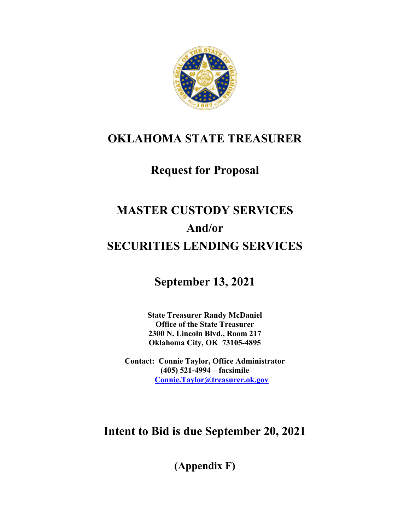

## **OKLAHOMA STATE TREASURER**

## **Request for Proposal**

# **MASTER CUSTODY SERVICES And/or SECURITIES LENDING SERVICES**

**September 13, 2021**

**State Treasurer Randy McDaniel Office of the State Treasurer 2300 N. Lincoln Blvd., Room 217 Oklahoma City, OK 73105-4895**

**Contact: Connie Taylor, Office Administrator (405) 521-4994 – facsimile Connie.Taylor@treasurer.ok.gov**

## **Intent to Bid is due September 20, 2021**

**(Appendix F)**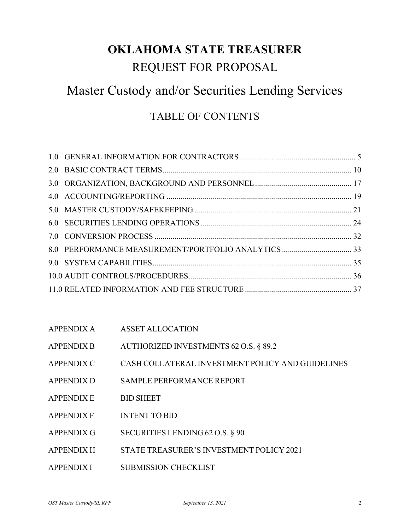# **OKLAHOMA STATE TREASURER**

## REQUEST FOR PROPOSAL

## Master Custody and/or Securities Lending Services

## TABLE OF CONTENTS

| <b>APPENDIX A</b> | <b>ASSET ALLOCATION</b> |
|-------------------|-------------------------|
|                   |                         |

| <b>APPENDIX B</b> | AUTHORIZED INVESTMENTS 62 O.S. § 89.2 |  |
|-------------------|---------------------------------------|--|
|                   |                                       |  |

- APPENDIX C CASH COLLATERAL INVESTMENT POLICY AND GUIDELINES
- APPENDIX D SAMPLE PERFORMANCE REPORT
- APPENDIX E BID SHEET
- APPENDIX F INTENT TO BID
- APPENDIX G SECURITIES LENDING 62 O.S. § 90
- APPENDIX H STATE TREASURER'S INVESTMENT POLICY 2021
- APPENDIX I SUBMISSION CHECKLIST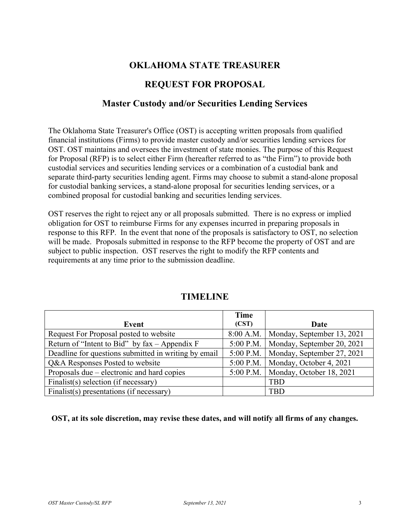### **OKLAHOMA STATE TREASURER**

### **REQUEST FOR PROPOSAL**

### **Master Custody and/or Securities Lending Services**

The Oklahoma State Treasurer's Office (OST) is accepting written proposals from qualified financial institutions (Firms) to provide master custody and/or securities lending services for OST. OST maintains and oversees the investment of state monies. The purpose of this Request for Proposal (RFP) is to select either Firm (hereafter referred to as "the Firm") to provide both custodial services and securities lending services or a combination of a custodial bank and separate third-party securities lending agent. Firms may choose to submit a stand-alone proposal for custodial banking services, a stand-alone proposal for securities lending services, or a combined proposal for custodial banking and securities lending services.

OST reserves the right to reject any or all proposals submitted. There is no express or implied obligation for OST to reimburse Firms for any expenses incurred in preparing proposals in response to this RFP. In the event that none of the proposals is satisfactory to OST, no selection will be made. Proposals submitted in response to the RFP become the property of OST and are subject to public inspection. OST reserves the right to modify the RFP contents and requirements at any time prior to the submission deadline.

|                                                               | Time      |                            |
|---------------------------------------------------------------|-----------|----------------------------|
| Event                                                         | (CST)     | Date                       |
| Request For Proposal posted to website                        | 8:00 A.M. | Monday, September 13, 2021 |
| Return of "Intent to Bid" by $\text{fax} - \text{Appendix} F$ | 5:00 P.M. | Monday, September 20, 2021 |
| Deadline for questions submitted in writing by email          | 5:00 P.M. | Monday, September 27, 2021 |
| Q&A Responses Posted to website                               | 5:00 P.M. | Monday, October 4, 2021    |
| Proposals due – electronic and hard copies                    | 5:00 P.M. | Monday, October 18, 2021   |
| Finalist(s) selection (if necessary)                          |           | <b>TBD</b>                 |
| Finalist(s) presentations (if necessary)                      |           | <b>TBD</b>                 |

### **TIMELINE**

**OST, at its sole discretion, may revise these dates, and will notify all firms of any changes.**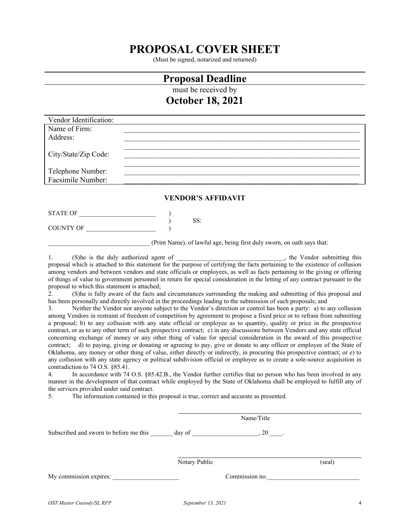## **PROPOSAL COVER SHEET**

(Must be signed, notarized and returned)

### **Proposal Deadline**

must be received by

### **October 18, 2021**

| Vendor Identification: |  |
|------------------------|--|
| Name of Firm:          |  |
| Address:               |  |
|                        |  |
| City/State/Zip Code:   |  |
|                        |  |
| Telephone Number:      |  |
| Facsimile Number:      |  |
|                        |  |

#### **VENDOR'S AFFIDAVIT**

| STATE OF  |  |
|-----------|--|
|           |  |
| COUNTY OF |  |

(Print Name), of lawful age, being first duly sworn, on oath says that:

1. (S)he is the duly authorized agent of  $\blacksquare$ , the Vendor submitting this proposal which is attached to this statement for the purpose of certifying the facts pertaining to the existence of collusion among vendors and between vendors and state officials or employees, as well as facts pertaining to the giving or offering of things of value to government personnel in return for special consideration in the letting of any contract pursuant to the proposal to which this statement is attached;

2. (S)he is fully aware of the facts and circumstances surrounding the making and submitting of this proposal and has been personally and directly involved in the proceedings leading to the submission of such proposals; and

3. Neither the Vendor nor anyone subject to the Vendor's direction or control has been a party: a) to any collusion among Vendors in restraint of freedom of competition by agreement to propose a fixed price or to refrain from submitting a proposal; b) to any collusion with any state official or employee as to quantity, quality or price in the prospective contract, or as to any other term of such prospective contract; c) in any discussions between Vendors and any state official concerning exchange of money or any other thing of value for special consideration in the award of this prospective contract; d) to paying, giving or donating or agreeing to pay, give or donate to any officer or employee of the State of Oklahoma, any money or other thing of value, either directly or indirectly, in procuring this prospective contract; or e) to any collusion with any state agency or political subdivision official or employee as to create a sole-source acquisition in contradiction to 74 O.S. §85.41.

4. In accordance with 74 O.S. §85.42.B., the Vendor further certifies that no person who has been involved in any manner in the development of that contract while employed by the State of Oklahoma shall be employed to fulfill any of the services provided under said contract.

5. The information contained in this proposal is true, correct and accurate as presented.

|                                        | Name/Title    |                |        |
|----------------------------------------|---------------|----------------|--------|
| Subscribed and sworn to before me this | day of        | $,20$ _______. |        |
|                                        | Notary Public |                | (seal) |
| My commission expires:                 |               | Commission no. |        |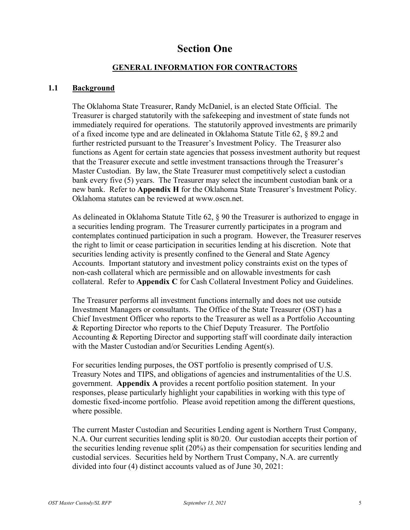### **Section One**

#### **GENERAL INFORMATION FOR CONTRACTORS**

#### <span id="page-4-0"></span>**1.1 Background**

The Oklahoma State Treasurer, Randy McDaniel, is an elected State Official. The Treasurer is charged statutorily with the safekeeping and investment of state funds not immediately required for operations. The statutorily approved investments are primarily of a fixed income type and are delineated in Oklahoma Statute Title 62, § 89.2 and further restricted pursuant to the Treasurer's Investment Policy. The Treasurer also functions as Agent for certain state agencies that possess investment authority but request that the Treasurer execute and settle investment transactions through the Treasurer's Master Custodian. By law, the State Treasurer must competitively select a custodian bank every five (5) years. The Treasurer may select the incumbent custodian bank or a new bank. Refer to **Appendix H** for the Oklahoma State Treasurer's Investment Policy. Oklahoma statutes can be reviewed at [www.oscn.net.](http://www.oscn.net/)

As delineated in Oklahoma Statute Title 62, § 90 the Treasurer is authorized to engage in a securities lending program. The Treasurer currently participates in a program and contemplates continued participation in such a program. However, the Treasurer reserves the right to limit or cease participation in securities lending at his discretion. Note that securities lending activity is presently confined to the General and State Agency Accounts. Important statutory and investment policy constraints exist on the types of non-cash collateral which are permissible and on allowable investments for cash collateral. Refer to **Appendix C** for Cash Collateral Investment Policy and Guidelines.

The Treasurer performs all investment functions internally and does not use outside Investment Managers or consultants. The Office of the State Treasurer (OST) has a Chief Investment Officer who reports to the Treasurer as well as a Portfolio Accounting & Reporting Director who reports to the Chief Deputy Treasurer. The Portfolio Accounting & Reporting Director and supporting staff will coordinate daily interaction with the Master Custodian and/or Securities Lending Agent(s).

For securities lending purposes, the OST portfolio is presently comprised of U.S. Treasury Notes and TIPS, and obligations of agencies and instrumentalities of the U.S. government. **Appendix A** provides a recent portfolio position statement. In your responses, please particularly highlight your capabilities in working with this type of domestic fixed-income portfolio. Please avoid repetition among the different questions, where possible.

The current Master Custodian and Securities Lending agent is Northern Trust Company, N.A. Our current securities lending split is 80/20. Our custodian accepts their portion of the securities lending revenue split (20%) as their compensation for securities lending and custodial services. Securities held by Northern Trust Company, N.A. are currently divided into four (4) distinct accounts valued as of June 30, 2021: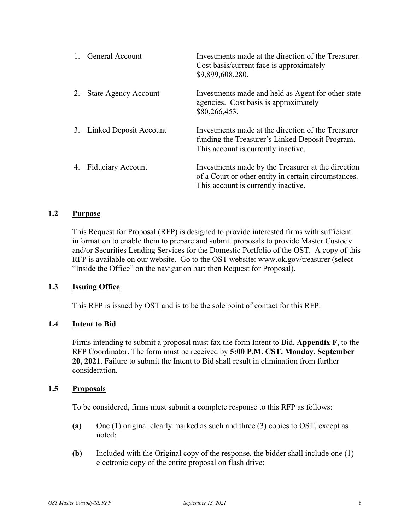|    | <b>General Account</b>      | Investments made at the direction of the Treasurer.<br>Cost basis/current face is approximately<br>\$9,899,608,280.                               |
|----|-----------------------------|---------------------------------------------------------------------------------------------------------------------------------------------------|
|    | <b>State Agency Account</b> | Investments made and held as Agent for other state<br>agencies. Cost basis is approximately<br>\$80,266,453.                                      |
| 3. | Linked Deposit Account      | Investments made at the direction of the Treasurer<br>funding the Treasurer's Linked Deposit Program.<br>This account is currently inactive.      |
| 4. | <b>Fiduciary Account</b>    | Investments made by the Treasurer at the direction<br>of a Court or other entity in certain circumstances.<br>This account is currently inactive. |

#### **1.2 Purpose**

This Request for Proposal (RFP) is designed to provide interested firms with sufficient information to enable them to prepare and submit proposals to provide Master Custody and/or Securities Lending Services for the Domestic Portfolio of the OST. A copy of this RFP is available on our website. Go to the OST website: www.ok.gov/treasurer (select "Inside the Office" on the navigation bar; then Request for Proposal).

#### **1.3 Issuing Office**

This RFP is issued by OST and is to be the sole point of contact for this RFP.

#### **1.4 Intent to Bid**

Firms intending to submit a proposal must fax the form Intent to Bid, **Appendix F**, to the RFP Coordinator. The form must be received by **5:00 P.M. CST, Monday, September 20, 2021**. Failure to submit the Intent to Bid shall result in elimination from further consideration.

#### **1.5 Proposals**

To be considered, firms must submit a complete response to this RFP as follows:

- **(a)** One (1) original clearly marked as such and three (3) copies to OST, except as noted;
- **(b)** Included with the Original copy of the response, the bidder shall include one (1) electronic copy of the entire proposal on flash drive;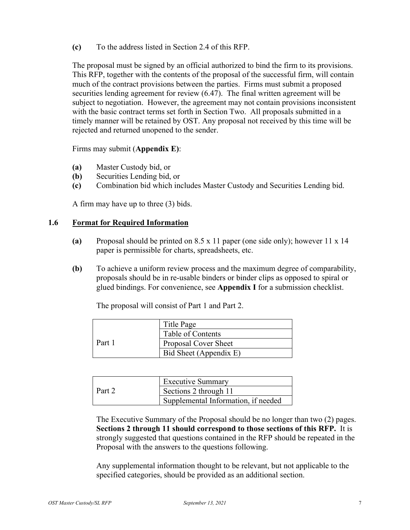**(c)** To the address listed in Section 2.4 of this RFP.

The proposal must be signed by an official authorized to bind the firm to its provisions. This RFP, together with the contents of the proposal of the successful firm, will contain much of the contract provisions between the parties. Firms must submit a proposed securities lending agreement for review (6.47). The final written agreement will be subject to negotiation. However, the agreement may not contain provisions inconsistent with the basic contract terms set forth in Section Two. All proposals submitted in a timely manner will be retained by OST. Any proposal not received by this time will be rejected and returned unopened to the sender.

Firms may submit (**Appendix E)**:

- **(a)** Master Custody bid, or
- **(b)** Securities Lending bid, or
- **(c)** Combination bid which includes Master Custody and Securities Lending bid.

A firm may have up to three (3) bids.

#### **1.6 Format for Required Information**

- **(a)** Proposal should be printed on 8.5 x 11 paper (one side only); however 11 x 14 paper is permissible for charts, spreadsheets, etc.
- **(b)** To achieve a uniform review process and the maximum degree of comparability, proposals should be in re-usable binders or binder clips as opposed to spiral or glued bindings. For convenience, see **Appendix I** for a submission checklist.

The proposal will consist of Part 1 and Part 2.

|        | Title Page                  |  |
|--------|-----------------------------|--|
|        | Table of Contents           |  |
| Part 1 | <b>Proposal Cover Sheet</b> |  |
|        | Bid Sheet (Appendix E)      |  |

|        | <b>Executive Summary</b>            |
|--------|-------------------------------------|
| Part 2 | Sections 2 through 11               |
|        | Supplemental Information, if needed |

The Executive Summary of the Proposal should be no longer than two (2) pages. **Sections 2 through 11 should correspond to those sections of this RFP.** It is strongly suggested that questions contained in the RFP should be repeated in the Proposal with the answers to the questions following.

Any supplemental information thought to be relevant, but not applicable to the specified categories, should be provided as an additional section.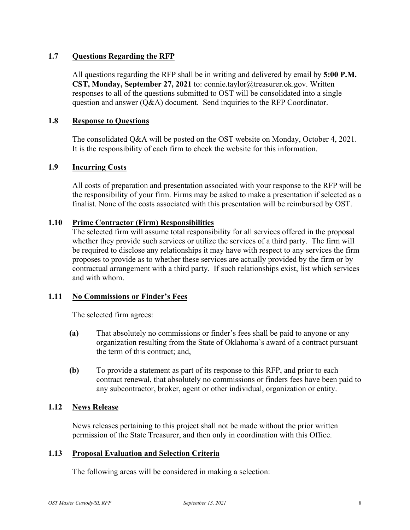#### **1.7 Questions Regarding the RFP**

All questions regarding the RFP shall be in writing and delivered by email by **5:00 P.M. CST, Monday, September 27, 2021** to: connie.taylor@treasurer.ok.gov. Written responses to all of the questions submitted to OST will be consolidated into a single question and answer (Q&A) document. Send inquiries to the RFP Coordinator.

#### **1.8 Response to Questions**

The consolidated Q&A will be posted on the OST website on Monday, October 4, 2021. It is the responsibility of each firm to check the website for this information.

#### **1.9 Incurring Costs**

All costs of preparation and presentation associated with your response to the RFP will be the responsibility of your firm. Firms may be asked to make a presentation if selected as a finalist. None of the costs associated with this presentation will be reimbursed by OST.

#### **1.10 Prime Contractor (Firm) Responsibilities**

The selected firm will assume total responsibility for all services offered in the proposal whether they provide such services or utilize the services of a third party. The firm will be required to disclose any relationships it may have with respect to any services the firm proposes to provide as to whether these services are actually provided by the firm or by contractual arrangement with a third party. If such relationships exist, list which services and with whom.

#### **1.11 No Commissions or Finder's Fees**

The selected firm agrees:

- **(a)** That absolutely no commissions or finder's fees shall be paid to anyone or any organization resulting from the State of Oklahoma's award of a contract pursuant the term of this contract; and,
- **(b)** To provide a statement as part of its response to this RFP, and prior to each contract renewal, that absolutely no commissions or finders fees have been paid to any subcontractor, broker, agent or other individual, organization or entity.

#### **1.12 News Release**

News releases pertaining to this project shall not be made without the prior written permission of the State Treasurer, and then only in coordination with this Office.

#### **1.13 Proposal Evaluation and Selection Criteria**

The following areas will be considered in making a selection: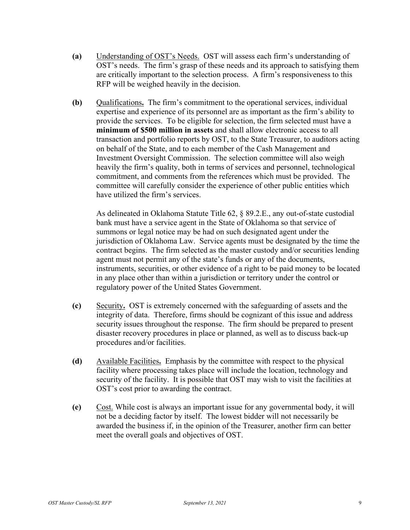- **(a)** Understanding of OST's Needs. OST will assess each firm's understanding of OST's needs. The firm's grasp of these needs and its approach to satisfying them are critically important to the selection process. A firm's responsiveness to this RFP will be weighed heavily in the decision.
- **(b)** Qualifications**.** The firm's commitment to the operational services, individual expertise and experience of its personnel are as important as the firm's ability to provide the services. To be eligible for selection, the firm selected must have a **minimum of \$500 million in assets** and shall allow electronic access to all transaction and portfolio reports by OST, to the State Treasurer, to auditors acting on behalf of the State, and to each member of the Cash Management and Investment Oversight Commission. The selection committee will also weigh heavily the firm's quality, both in terms of services and personnel, technological commitment, and comments from the references which must be provided. The committee will carefully consider the experience of other public entities which have utilized the firm's services.

As delineated in Oklahoma Statute Title 62, § 89.2.E., any out-of-state custodial bank must have a service agent in the State of Oklahoma so that service of summons or legal notice may be had on such designated agent under the jurisdiction of Oklahoma Law. Service agents must be designated by the time the contract begins. The firm selected as the master custody and/or securities lending agent must not permit any of the state's funds or any of the documents, instruments, securities, or other evidence of a right to be paid money to be located in any place other than within a jurisdiction or territory under the control or regulatory power of the United States Government.

- **(c)** Security**.** OST is extremely concerned with the safeguarding of assets and the integrity of data. Therefore, firms should be cognizant of this issue and address security issues throughout the response. The firm should be prepared to present disaster recovery procedures in place or planned, as well as to discuss back-up procedures and/or facilities.
- **(d)** Available Facilities**.** Emphasis by the committee with respect to the physical facility where processing takes place will include the location, technology and security of the facility. It is possible that OST may wish to visit the facilities at OST's cost prior to awarding the contract.
- **(e)** Cost. While cost is always an important issue for any governmental body, it will not be a deciding factor by itself. The lowest bidder will not necessarily be awarded the business if, in the opinion of the Treasurer, another firm can better meet the overall goals and objectives of OST.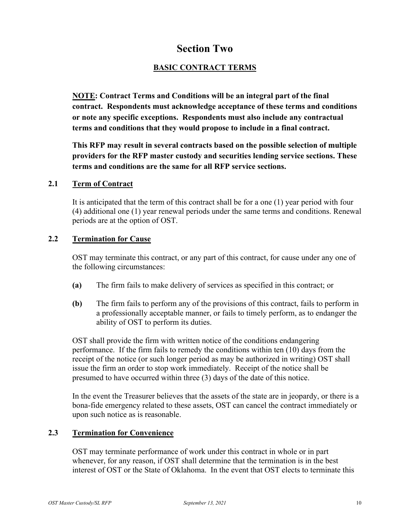### **Section Two**

#### **BASIC CONTRACT TERMS**

<span id="page-9-0"></span>**NOTE: Contract Terms and Conditions will be an integral part of the final contract. Respondents must acknowledge acceptance of these terms and conditions or note any specific exceptions. Respondents must also include any contractual terms and conditions that they would propose to include in a final contract.**

**This RFP may result in several contracts based on the possible selection of multiple providers for the RFP master custody and securities lending service sections. These terms and conditions are the same for all RFP service sections.**

#### **2.1 Term of Contract**

It is anticipated that the term of this contract shall be for a one (1) year period with four (4) additional one (1) year renewal periods under the same terms and conditions. Renewal periods are at the option of OST.

#### **2.2 Termination for Cause**

OST may terminate this contract, or any part of this contract, for cause under any one of the following circumstances:

- **(a)** The firm fails to make delivery of services as specified in this contract; or
- **(b)** The firm fails to perform any of the provisions of this contract, fails to perform in a professionally acceptable manner, or fails to timely perform, as to endanger the ability of OST to perform its duties.

OST shall provide the firm with written notice of the conditions endangering performance. If the firm fails to remedy the conditions within ten (10) days from the receipt of the notice (or such longer period as may be authorized in writing) OST shall issue the firm an order to stop work immediately. Receipt of the notice shall be presumed to have occurred within three (3) days of the date of this notice.

In the event the Treasurer believes that the assets of the state are in jeopardy, or there is a bona-fide emergency related to these assets, OST can cancel the contract immediately or upon such notice as is reasonable.

#### **2.3 Termination for Convenience**

OST may terminate performance of work under this contract in whole or in part whenever, for any reason, if OST shall determine that the termination is in the best interest of OST or the State of Oklahoma. In the event that OST elects to terminate this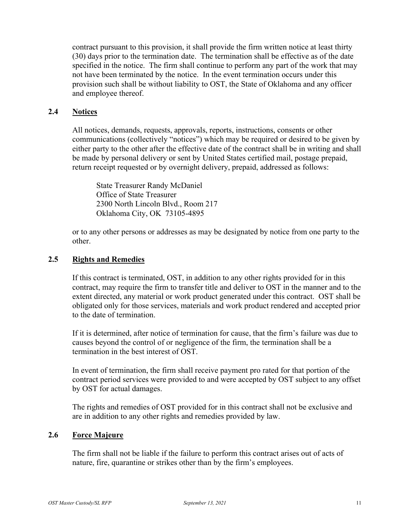contract pursuant to this provision, it shall provide the firm written notice at least thirty (30) days prior to the termination date. The termination shall be effective as of the date specified in the notice. The firm shall continue to perform any part of the work that may not have been terminated by the notice. In the event termination occurs under this provision such shall be without liability to OST, the State of Oklahoma and any officer and employee thereof.

#### **2.4 Notices**

All notices, demands, requests, approvals, reports, instructions, consents or other communications (collectively "notices") which may be required or desired to be given by either party to the other after the effective date of the contract shall be in writing and shall be made by personal delivery or sent by United States certified mail, postage prepaid, return receipt requested or by overnight delivery, prepaid, addressed as follows:

State Treasurer Randy McDaniel Office of State Treasurer 2300 North Lincoln Blvd., Room 217 Oklahoma City, OK 73105-4895

or to any other persons or addresses as may be designated by notice from one party to the other.

#### **2.5 Rights and Remedies**

If this contract is terminated, OST, in addition to any other rights provided for in this contract, may require the firm to transfer title and deliver to OST in the manner and to the extent directed, any material or work product generated under this contract. OST shall be obligated only for those services, materials and work product rendered and accepted prior to the date of termination.

If it is determined, after notice of termination for cause, that the firm's failure was due to causes beyond the control of or negligence of the firm, the termination shall be a termination in the best interest of OST.

In event of termination, the firm shall receive payment pro rated for that portion of the contract period services were provided to and were accepted by OST subject to any offset by OST for actual damages.

The rights and remedies of OST provided for in this contract shall not be exclusive and are in addition to any other rights and remedies provided by law.

#### **2.6 Force Majeure**

The firm shall not be liable if the failure to perform this contract arises out of acts of nature, fire, quarantine or strikes other than by the firm's employees.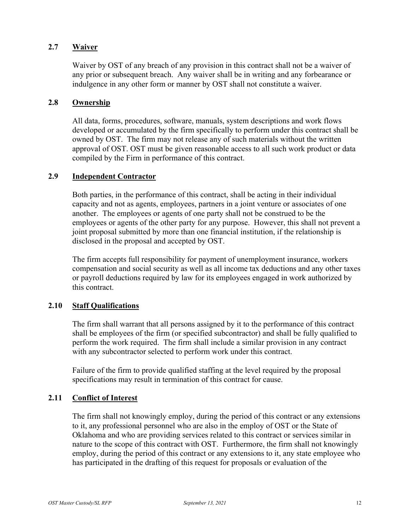#### **2.7 Waiver**

Waiver by OST of any breach of any provision in this contract shall not be a waiver of any prior or subsequent breach. Any waiver shall be in writing and any forbearance or indulgence in any other form or manner by OST shall not constitute a waiver.

#### **2.8 Ownership**

All data, forms, procedures, software, manuals, system descriptions and work flows developed or accumulated by the firm specifically to perform under this contract shall be owned by OST. The firm may not release any of such materials without the written approval of OST. OST must be given reasonable access to all such work product or data compiled by the Firm in performance of this contract.

#### **2.9 Independent Contractor**

Both parties, in the performance of this contract, shall be acting in their individual capacity and not as agents, employees, partners in a joint venture or associates of one another. The employees or agents of one party shall not be construed to be the employees or agents of the other party for any purpose. However, this shall not prevent a joint proposal submitted by more than one financial institution, if the relationship is disclosed in the proposal and accepted by OST.

The firm accepts full responsibility for payment of unemployment insurance, workers compensation and social security as well as all income tax deductions and any other taxes or payroll deductions required by law for its employees engaged in work authorized by this contract.

#### **2.10 Staff Qualifications**

The firm shall warrant that all persons assigned by it to the performance of this contract shall be employees of the firm (or specified subcontractor) and shall be fully qualified to perform the work required. The firm shall include a similar provision in any contract with any subcontractor selected to perform work under this contract.

Failure of the firm to provide qualified staffing at the level required by the proposal specifications may result in termination of this contract for cause.

#### **2.11 Conflict of Interest**

The firm shall not knowingly employ, during the period of this contract or any extensions to it, any professional personnel who are also in the employ of OST or the State of Oklahoma and who are providing services related to this contract or services similar in nature to the scope of this contract with OST. Furthermore, the firm shall not knowingly employ, during the period of this contract or any extensions to it, any state employee who has participated in the drafting of this request for proposals or evaluation of the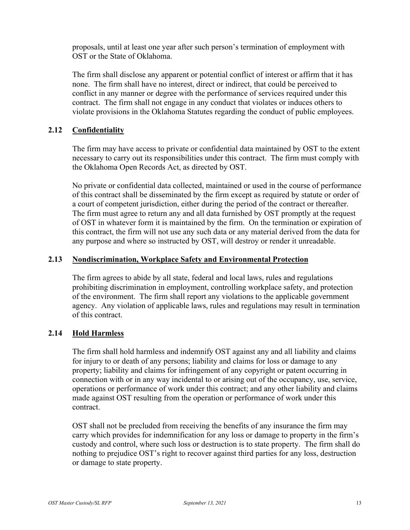proposals, until at least one year after such person's termination of employment with OST or the State of Oklahoma.

The firm shall disclose any apparent or potential conflict of interest or affirm that it has none. The firm shall have no interest, direct or indirect, that could be perceived to conflict in any manner or degree with the performance of services required under this contract. The firm shall not engage in any conduct that violates or induces others to violate provisions in the Oklahoma Statutes regarding the conduct of public employees.

#### **2.12 Confidentiality**

The firm may have access to private or confidential data maintained by OST to the extent necessary to carry out its responsibilities under this contract. The firm must comply with the Oklahoma Open Records Act, as directed by OST.

No private or confidential data collected, maintained or used in the course of performance of this contract shall be disseminated by the firm except as required by statute or order of a court of competent jurisdiction, either during the period of the contract or thereafter. The firm must agree to return any and all data furnished by OST promptly at the request of OST in whatever form it is maintained by the firm. On the termination or expiration of this contract, the firm will not use any such data or any material derived from the data for any purpose and where so instructed by OST, will destroy or render it unreadable.

#### **2.13 Nondiscrimination, Workplace Safety and Environmental Protection**

The firm agrees to abide by all state, federal and local laws, rules and regulations prohibiting discrimination in employment, controlling workplace safety, and protection of the environment. The firm shall report any violations to the applicable government agency. Any violation of applicable laws, rules and regulations may result in termination of this contract.

#### **2.14 Hold Harmless**

The firm shall hold harmless and indemnify OST against any and all liability and claims for injury to or death of any persons; liability and claims for loss or damage to any property; liability and claims for infringement of any copyright or patent occurring in connection with or in any way incidental to or arising out of the occupancy, use, service, operations or performance of work under this contract; and any other liability and claims made against OST resulting from the operation or performance of work under this contract.

OST shall not be precluded from receiving the benefits of any insurance the firm may carry which provides for indemnification for any loss or damage to property in the firm's custody and control, where such loss or destruction is to state property. The firm shall do nothing to prejudice OST's right to recover against third parties for any loss, destruction or damage to state property.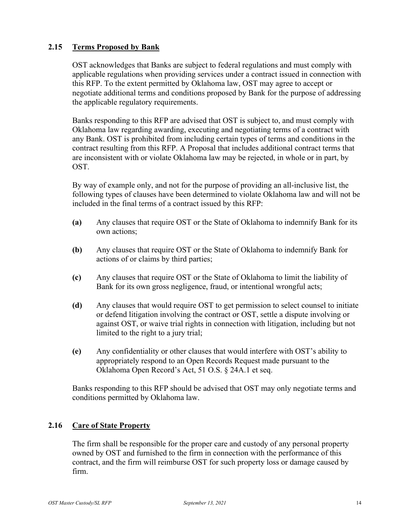#### **2.15 Terms Proposed by Bank**

OST acknowledges that Banks are subject to federal regulations and must comply with applicable regulations when providing services under a contract issued in connection with this RFP. To the extent permitted by Oklahoma law, OST may agree to accept or negotiate additional terms and conditions proposed by Bank for the purpose of addressing the applicable regulatory requirements.

Banks responding to this RFP are advised that OST is subject to, and must comply with Oklahoma law regarding awarding, executing and negotiating terms of a contract with any Bank. OST is prohibited from including certain types of terms and conditions in the contract resulting from this RFP. A Proposal that includes additional contract terms that are inconsistent with or violate Oklahoma law may be rejected, in whole or in part, by OST.

By way of example only, and not for the purpose of providing an all-inclusive list, the following types of clauses have been determined to violate Oklahoma law and will not be included in the final terms of a contract issued by this RFP:

- **(a)** Any clauses that require OST or the State of Oklahoma to indemnify Bank for its own actions;
- **(b)** Any clauses that require OST or the State of Oklahoma to indemnify Bank for actions of or claims by third parties;
- **(c)** Any clauses that require OST or the State of Oklahoma to limit the liability of Bank for its own gross negligence, fraud, or intentional wrongful acts;
- **(d)** Any clauses that would require OST to get permission to select counsel to initiate or defend litigation involving the contract or OST, settle a dispute involving or against OST, or waive trial rights in connection with litigation, including but not limited to the right to a jury trial;
- **(e)** Any confidentiality or other clauses that would interfere with OST's ability to appropriately respond to an Open Records Request made pursuant to the Oklahoma Open Record's Act, 51 O.S. § 24A.1 et seq.

Banks responding to this RFP should be advised that OST may only negotiate terms and conditions permitted by Oklahoma law.

#### **2.16 Care of State Property**

The firm shall be responsible for the proper care and custody of any personal property owned by OST and furnished to the firm in connection with the performance of this contract, and the firm will reimburse OST for such property loss or damage caused by firm.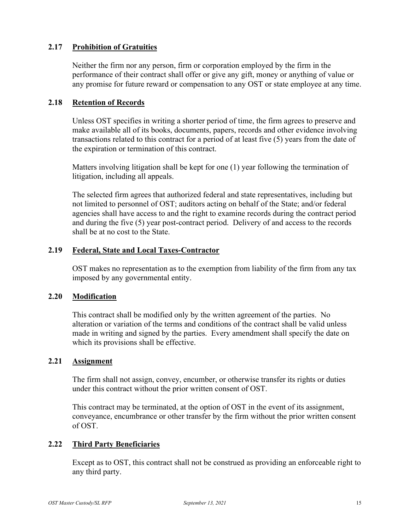#### **2.17 Prohibition of Gratuities**

Neither the firm nor any person, firm or corporation employed by the firm in the performance of their contract shall offer or give any gift, money or anything of value or any promise for future reward or compensation to any OST or state employee at any time.

#### **2.18 Retention of Records**

Unless OST specifies in writing a shorter period of time, the firm agrees to preserve and make available all of its books, documents, papers, records and other evidence involving transactions related to this contract for a period of at least five (5) years from the date of the expiration or termination of this contract.

Matters involving litigation shall be kept for one (1) year following the termination of litigation, including all appeals.

The selected firm agrees that authorized federal and state representatives, including but not limited to personnel of OST; auditors acting on behalf of the State; and/or federal agencies shall have access to and the right to examine records during the contract period and during the five (5) year post-contract period. Delivery of and access to the records shall be at no cost to the State.

#### **2.19 Federal, State and Local Taxes-Contractor**

OST makes no representation as to the exemption from liability of the firm from any tax imposed by any governmental entity.

#### **2.20 Modification**

This contract shall be modified only by the written agreement of the parties. No alteration or variation of the terms and conditions of the contract shall be valid unless made in writing and signed by the parties. Every amendment shall specify the date on which its provisions shall be effective.

#### **2.21 Assignment**

The firm shall not assign, convey, encumber, or otherwise transfer its rights or duties under this contract without the prior written consent of OST.

This contract may be terminated, at the option of OST in the event of its assignment, conveyance, encumbrance or other transfer by the firm without the prior written consent of OST.

#### **2.22 Third Party Beneficiaries**

Except as to OST, this contract shall not be construed as providing an enforceable right to any third party.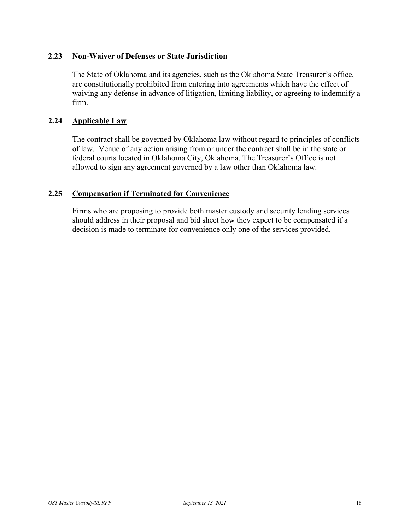#### **2.23 Non-Waiver of Defenses or State Jurisdiction**

The State of Oklahoma and its agencies, such as the Oklahoma State Treasurer's office, are constitutionally prohibited from entering into agreements which have the effect of waiving any defense in advance of litigation, limiting liability, or agreeing to indemnify a firm.

#### **2.24 Applicable Law**

The contract shall be governed by Oklahoma law without regard to principles of conflicts of law. Venue of any action arising from or under the contract shall be in the state or federal courts located in Oklahoma City, Oklahoma. The Treasurer's Office is not allowed to sign any agreement governed by a law other than Oklahoma law.

#### **2.25 Compensation if Terminated for Convenience**

Firms who are proposing to provide both master custody and security lending services should address in their proposal and bid sheet how they expect to be compensated if a decision is made to terminate for convenience only one of the services provided.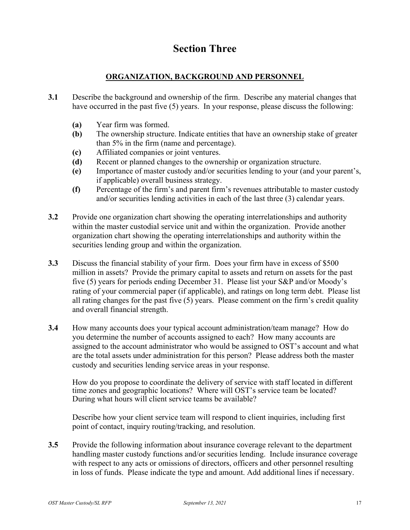## **Section Three**

#### **ORGANIZATION, BACKGROUND AND PERSONNEL**

- <span id="page-16-0"></span>**3.1** Describe the background and ownership of the firm. Describe any material changes that have occurred in the past five (5) years. In your response, please discuss the following:
	- **(a)** Year firm was formed.
	- **(b)** The ownership structure. Indicate entities that have an ownership stake of greater than 5% in the firm (name and percentage).
	- **(c)** Affiliated companies or joint ventures.
	- **(d)** Recent or planned changes to the ownership or organization structure.
	- **(e)** Importance of master custody and/or securities lending to your (and your parent's, if applicable) overall business strategy.
	- **(f)** Percentage of the firm's and parent firm's revenues attributable to master custody and/or securities lending activities in each of the last three (3) calendar years.
- **3.2** Provide one organization chart showing the operating interrelationships and authority within the master custodial service unit and within the organization. Provide another organization chart showing the operating interrelationships and authority within the securities lending group and within the organization.
- **3.3** Discuss the financial stability of your firm. Does your firm have in excess of \$500 million in assets? Provide the primary capital to assets and return on assets for the past five (5) years for periods ending December 31. Please list your S&P and/or Moody's rating of your commercial paper (if applicable), and ratings on long term debt. Please list all rating changes for the past five (5) years. Please comment on the firm's credit quality and overall financial strength.
- **3.4** How many accounts does your typical account administration/team manage? How do you determine the number of accounts assigned to each? How many accounts are assigned to the account administrator who would be assigned to OST's account and what are the total assets under administration for this person? Please address both the master custody and securities lending service areas in your response.

How do you propose to coordinate the delivery of service with staff located in different time zones and geographic locations? Where will OST's service team be located? During what hours will client service teams be available?

Describe how your client service team will respond to client inquiries, including first point of contact, inquiry routing/tracking, and resolution.

**3.5** Provide the following information about insurance coverage relevant to the department handling master custody functions and/or securities lending. Include insurance coverage with respect to any acts or omissions of directors, officers and other personnel resulting in loss of funds. Please indicate the type and amount. Add additional lines if necessary.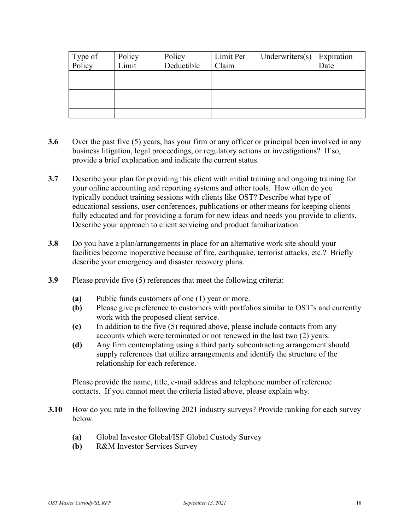| Type of<br>Policy | Policy | Policy     | Limit Per | Underwriters $(s)$ | Expiration |
|-------------------|--------|------------|-----------|--------------------|------------|
|                   | Limit  | Deductible | Claim     |                    | Date       |
|                   |        |            |           |                    |            |
|                   |        |            |           |                    |            |
|                   |        |            |           |                    |            |
|                   |        |            |           |                    |            |
|                   |        |            |           |                    |            |

- **3.6** Over the past five (5) years, has your firm or any officer or principal been involved in any business litigation, legal proceedings, or regulatory actions or investigations? If so, provide a brief explanation and indicate the current status.
- **3.7** Describe your plan for providing this client with initial training and ongoing training for your online accounting and reporting systems and other tools. How often do you typically conduct training sessions with clients like OST? Describe what type of educational sessions, user conferences, publications or other means for keeping clients fully educated and for providing a forum for new ideas and needs you provide to clients. Describe your approach to client servicing and product familiarization.
- **3.8** Do you have a plan/arrangements in place for an alternative work site should your facilities become inoperative because of fire, earthquake, terrorist attacks, etc.? Briefly describe your emergency and disaster recovery plans.
- **3.9** Please provide five (5) references that meet the following criteria:
	- **(a)** Public funds customers of one (1) year or more.
	- **(b)** Please give preference to customers with portfolios similar to OST's and currently work with the proposed client service.
	- **(c)** In addition to the five (5) required above, please include contacts from any accounts which were terminated or not renewed in the last two (2) years.
	- **(d)** Any firm contemplating using a third party subcontracting arrangement should supply references that utilize arrangements and identify the structure of the relationship for each reference.

Please provide the name, title, e-mail address and telephone number of reference contacts. If you cannot meet the criteria listed above, please explain why.

- **3.10** How do you rate in the following 2021 industry surveys? Provide ranking for each survey below.
	- **(a)** Global Investor Global/ISF Global Custody Survey
	- **(b)** R&M Investor Services Survey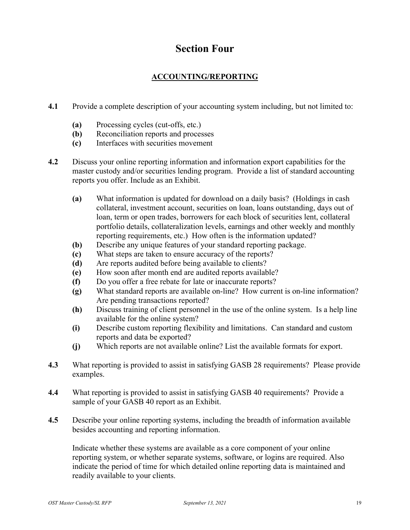## **Section Four**

#### **ACCOUNTING/REPORTING**

- <span id="page-18-0"></span>**4.1** Provide a complete description of your accounting system including, but not limited to:
	- **(a)** Processing cycles (cut-offs, etc.)
	- **(b)** Reconciliation reports and processes
	- **(c)** Interfaces with securities movement
- **4.2** Discuss your online reporting information and information export capabilities for the master custody and/or securities lending program. Provide a list of standard accounting reports you offer. Include as an Exhibit.
	- **(a)** What information is updated for download on a daily basis? (Holdings in cash collateral, investment account, securities on loan, loans outstanding, days out of loan, term or open trades, borrowers for each block of securities lent, collateral portfolio details, collateralization levels, earnings and other weekly and monthly reporting requirements, etc.) How often is the information updated?
	- **(b)** Describe any unique features of your standard reporting package.
	- **(c)** What steps are taken to ensure accuracy of the reports?
	- **(d)** Are reports audited before being available to clients?
	- **(e)** How soon after month end are audited reports available?
	- **(f)** Do you offer a free rebate for late or inaccurate reports?
	- **(g)** What standard reports are available on-line? How current is on-line information? Are pending transactions reported?
	- **(h)** Discuss training of client personnel in the use of the online system. Is a help line available for the online system?
	- **(i)** Describe custom reporting flexibility and limitations. Can standard and custom reports and data be exported?
	- **(j)** Which reports are not available online? List the available formats for export.
- **4.3** What reporting is provided to assist in satisfying GASB 28 requirements? Please provide examples.
- **4.4** What reporting is provided to assist in satisfying GASB 40 requirements? Provide a sample of your GASB 40 report as an Exhibit.
- **4.5** Describe your online reporting systems, including the breadth of information available besides accounting and reporting information.

Indicate whether these systems are available as a core component of your online reporting system, or whether separate systems, software, or logins are required. Also indicate the period of time for which detailed online reporting data is maintained and readily available to your clients.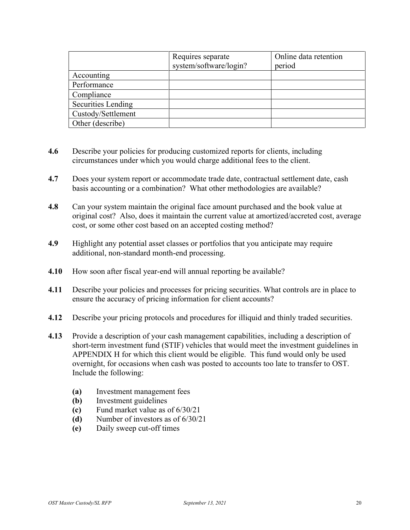|                           | Requires separate<br>system/software/login? | Online data retention<br>period |
|---------------------------|---------------------------------------------|---------------------------------|
| Accounting                |                                             |                                 |
| Performance               |                                             |                                 |
| Compliance                |                                             |                                 |
| <b>Securities Lending</b> |                                             |                                 |
| Custody/Settlement        |                                             |                                 |
| Other (describe)          |                                             |                                 |

- **4.6** Describe your policies for producing customized reports for clients, including circumstances under which you would charge additional fees to the client.
- **4.7** Does your system report or accommodate trade date, contractual settlement date, cash basis accounting or a combination? What other methodologies are available?
- **4.8** Can your system maintain the original face amount purchased and the book value at original cost? Also, does it maintain the current value at amortized/accreted cost, average cost, or some other cost based on an accepted costing method?
- **4.9** Highlight any potential asset classes or portfolios that you anticipate may require additional, non-standard month-end processing.
- **4.10** How soon after fiscal year-end will annual reporting be available?
- **4.11** Describe your policies and processes for pricing securities. What controls are in place to ensure the accuracy of pricing information for client accounts?
- **4.12** Describe your pricing protocols and procedures for illiquid and thinly traded securities.
- **4.13** Provide a description of your cash management capabilities, including a description of short-term investment fund (STIF) vehicles that would meet the investment guidelines in APPENDIX H for which this client would be eligible. This fund would only be used overnight, for occasions when cash was posted to accounts too late to transfer to OST. Include the following:
	- **(a)** Investment management fees
	- **(b)** Investment guidelines
	- **(c)** Fund market value as of 6/30/21
	- **(d)** Number of investors as of 6/30/21
	- **(e)** Daily sweep cut-off times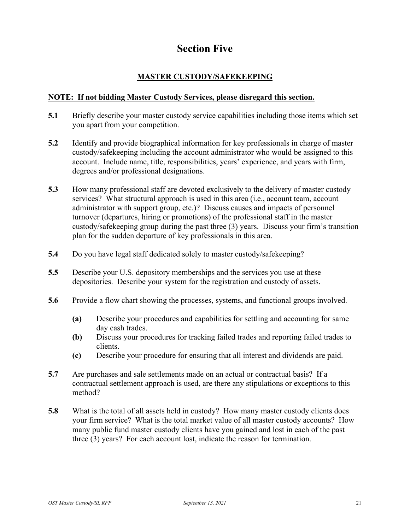## **Section Five**

#### **MASTER CUSTODY/SAFEKEEPING**

#### <span id="page-20-0"></span>**NOTE: If not bidding Master Custody Services, please disregard this section.**

- **5.1** Briefly describe your master custody service capabilities including those items which set you apart from your competition.
- **5.2** Identify and provide biographical information for key professionals in charge of master custody/safekeeping including the account administrator who would be assigned to this account. Include name, title, responsibilities, years' experience, and years with firm, degrees and/or professional designations.
- **5.3** How many professional staff are devoted exclusively to the delivery of master custody services? What structural approach is used in this area (i.e., account team, account administrator with support group, etc.)? Discuss causes and impacts of personnel turnover (departures, hiring or promotions) of the professional staff in the master custody/safekeeping group during the past three (3) years. Discuss your firm's transition plan for the sudden departure of key professionals in this area.
- **5.4** Do you have legal staff dedicated solely to master custody/safekeeping?
- **5.5** Describe your U.S. depository memberships and the services you use at these depositories. Describe your system for the registration and custody of assets.
- **5.6** Provide a flow chart showing the processes, systems, and functional groups involved.
	- **(a)** Describe your procedures and capabilities for settling and accounting for same day cash trades.
	- **(b)** Discuss your procedures for tracking failed trades and reporting failed trades to clients.
	- **(c)** Describe your procedure for ensuring that all interest and dividends are paid.
- **5.7** Are purchases and sale settlements made on an actual or contractual basis? If a contractual settlement approach is used, are there any stipulations or exceptions to this method?
- **5.8** What is the total of all assets held in custody? How many master custody clients does your firm service? What is the total market value of all master custody accounts? How many public fund master custody clients have you gained and lost in each of the past three (3) years? For each account lost, indicate the reason for termination.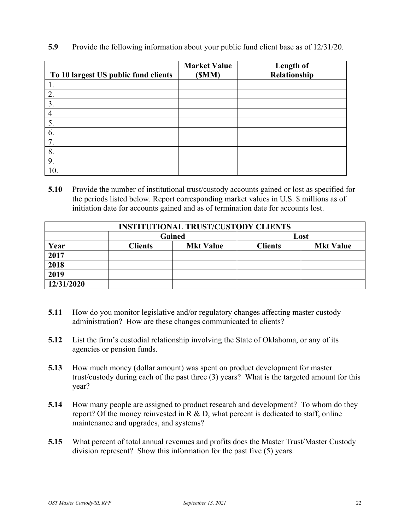| To 10 largest US public fund clients | <b>Market Value</b><br>(SMM) | Length of<br>Relationship |
|--------------------------------------|------------------------------|---------------------------|
| 1.                                   |                              |                           |
| 2.                                   |                              |                           |
| 3.                                   |                              |                           |
| 4                                    |                              |                           |
| 5.                                   |                              |                           |
| 6.                                   |                              |                           |
| 7.                                   |                              |                           |
| 8.                                   |                              |                           |
| 9.                                   |                              |                           |
| 10.                                  |                              |                           |

**5.9** Provide the following information about your public fund client base as of 12/31/20.

**5.10** Provide the number of institutional trust/custody accounts gained or lost as specified for the periods listed below. Report corresponding market values in U.S. \$ millions as of initiation date for accounts gained and as of termination date for accounts lost.

| <b>INSTITUTIONAL TRUST/CUSTODY CLIENTS</b> |                |                  |                |                  |  |  |
|--------------------------------------------|----------------|------------------|----------------|------------------|--|--|
|                                            | Gained         |                  | Lost           |                  |  |  |
| Year                                       | <b>Clients</b> | <b>Mkt Value</b> | <b>Clients</b> | <b>Mkt Value</b> |  |  |
| 2017                                       |                |                  |                |                  |  |  |
| 2018                                       |                |                  |                |                  |  |  |
| 2019                                       |                |                  |                |                  |  |  |
| 12/31/2020                                 |                |                  |                |                  |  |  |

- **5.11** How do you monitor legislative and/or regulatory changes affecting master custody administration? How are these changes communicated to clients?
- **5.12** List the firm's custodial relationship involving the State of Oklahoma, or any of its agencies or pension funds.
- **5.13** How much money (dollar amount) was spent on product development for master trust/custody during each of the past three (3) years? What is the targeted amount for this year?
- **5.14** How many people are assigned to product research and development? To whom do they report? Of the money reinvested in  $R \& D$ , what percent is dedicated to staff, online maintenance and upgrades, and systems?
- **5.15** What percent of total annual revenues and profits does the Master Trust/Master Custody division represent? Show this information for the past five (5) years.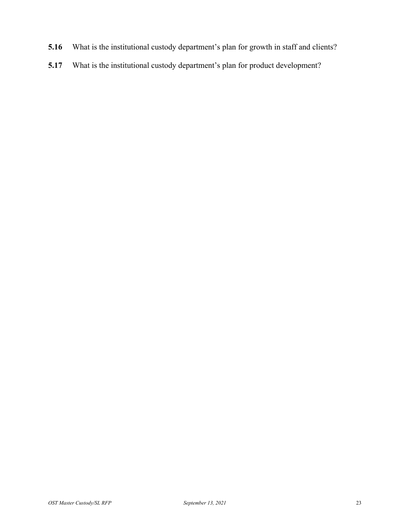- **5.16** What is the institutional custody department's plan for growth in staff and clients?
- **5.17** What is the institutional custody department's plan for product development?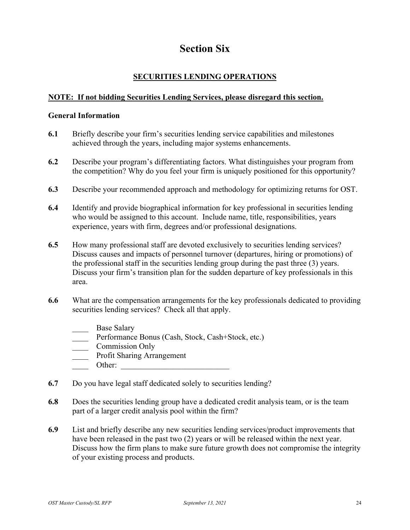## **Section Six**

#### **SECURITIES LENDING OPERATIONS**

#### <span id="page-23-0"></span>**NOTE: If not bidding Securities Lending Services, please disregard this section.**

#### **General Information**

- **6.1** Briefly describe your firm's securities lending service capabilities and milestones achieved through the years, including major systems enhancements.
- **6.2** Describe your program's differentiating factors. What distinguishes your program from the competition? Why do you feel your firm is uniquely positioned for this opportunity?
- **6.3** Describe your recommended approach and methodology for optimizing returns for OST.
- **6.4** Identify and provide biographical information for key professional in securities lending who would be assigned to this account. Include name, title, responsibilities, years experience, years with firm, degrees and/or professional designations.
- **6.5** How many professional staff are devoted exclusively to securities lending services? Discuss causes and impacts of personnel turnover (departures, hiring or promotions) of the professional staff in the securities lending group during the past three (3) years. Discuss your firm's transition plan for the sudden departure of key professionals in this area.
- **6.6** What are the compensation arrangements for the key professionals dedicated to providing securities lending services? Check all that apply.
	- Base Salary
	- Performance Bonus (Cash, Stock, Cash+Stock, etc.)
	- \_\_\_\_ Commission Only
	- \_\_\_\_ Profit Sharing Arrangement
	- Other:
- **6.7** Do you have legal staff dedicated solely to securities lending?
- **6.8** Does the securities lending group have a dedicated credit analysis team, or is the team part of a larger credit analysis pool within the firm?
- **6.9** List and briefly describe any new securities lending services/product improvements that have been released in the past two (2) years or will be released within the next year. Discuss how the firm plans to make sure future growth does not compromise the integrity of your existing process and products.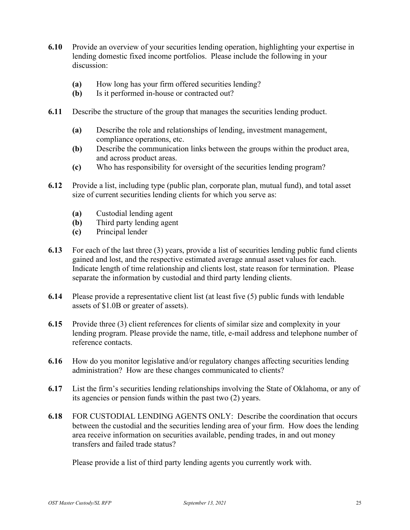- **6.10** Provide an overview of your securities lending operation, highlighting your expertise in lending domestic fixed income portfolios. Please include the following in your discussion:
	- **(a)** How long has your firm offered securities lending?
	- **(b)** Is it performed in-house or contracted out?
- **6.11** Describe the structure of the group that manages the securities lending product.
	- **(a)** Describe the role and relationships of lending, investment management, compliance operations, etc.
	- **(b)** Describe the communication links between the groups within the product area, and across product areas.
	- **(c)** Who has responsibility for oversight of the securities lending program?
- **6.12** Provide a list, including type (public plan, corporate plan, mutual fund), and total asset size of current securities lending clients for which you serve as:
	- **(a)** Custodial lending agent
	- **(b)** Third party lending agent
	- **(c)** Principal lender
- **6.13** For each of the last three (3) years, provide a list of securities lending public fund clients gained and lost, and the respective estimated average annual asset values for each. Indicate length of time relationship and clients lost, state reason for termination. Please separate the information by custodial and third party lending clients.
- **6.14** Please provide a representative client list (at least five (5) public funds with lendable assets of \$1.0B or greater of assets).
- **6.15** Provide three (3) client references for clients of similar size and complexity in your lending program. Please provide the name, title, e-mail address and telephone number of reference contacts.
- **6.16** How do you monitor legislative and/or regulatory changes affecting securities lending administration? How are these changes communicated to clients?
- **6.17** List the firm's securities lending relationships involving the State of Oklahoma, or any of its agencies or pension funds within the past two (2) years.
- **6.18** FOR CUSTODIAL LENDING AGENTS ONLY: Describe the coordination that occurs between the custodial and the securities lending area of your firm. How does the lending area receive information on securities available, pending trades, in and out money transfers and failed trade status?

Please provide a list of third party lending agents you currently work with.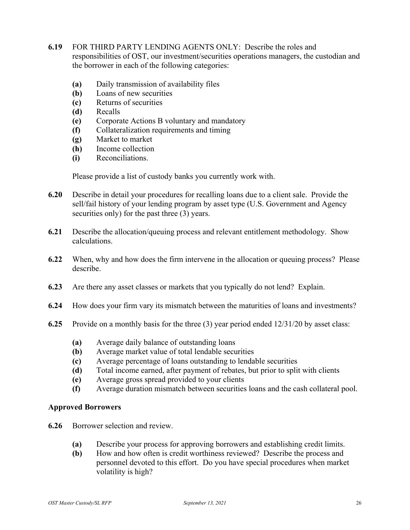- **6.19** FOR THIRD PARTY LENDING AGENTS ONLY: Describe the roles and responsibilities of OST, our investment/securities operations managers, the custodian and the borrower in each of the following categories:
	- **(a)** Daily transmission of availability files
	- **(b)** Loans of new securities
	- **(c)** Returns of securities
	- **(d)** Recalls
	- **(e)** Corporate Actions B voluntary and mandatory
	- **(f)** Collateralization requirements and timing
	- **(g)** Market to market
	- **(h)** Income collection
	- **(i)** Reconciliations.

Please provide a list of custody banks you currently work with.

- **6.20** Describe in detail your procedures for recalling loans due to a client sale. Provide the sell/fail history of your lending program by asset type (U.S. Government and Agency securities only) for the past three (3) years.
- **6.21** Describe the allocation/queuing process and relevant entitlement methodology. Show calculations.
- **6.22** When, why and how does the firm intervene in the allocation or queuing process? Please describe.
- **6.23** Are there any asset classes or markets that you typically do not lend? Explain.
- **6.24** How does your firm vary its mismatch between the maturities of loans and investments?
- **6.25** Provide on a monthly basis for the three (3) year period ended 12/31/20 by asset class:
	- **(a)** Average daily balance of outstanding loans
	- **(b)** Average market value of total lendable securities
	- **(c)** Average percentage of loans outstanding to lendable securities
	- **(d)** Total income earned, after payment of rebates, but prior to split with clients
	- **(e)** Average gross spread provided to your clients
	- **(f)** Average duration mismatch between securities loans and the cash collateral pool.

#### **Approved Borrowers**

- **6.26** Borrower selection and review.
	- **(a)** Describe your process for approving borrowers and establishing credit limits.
	- **(b)** How and how often is credit worthiness reviewed? Describe the process and personnel devoted to this effort. Do you have special procedures when market volatility is high?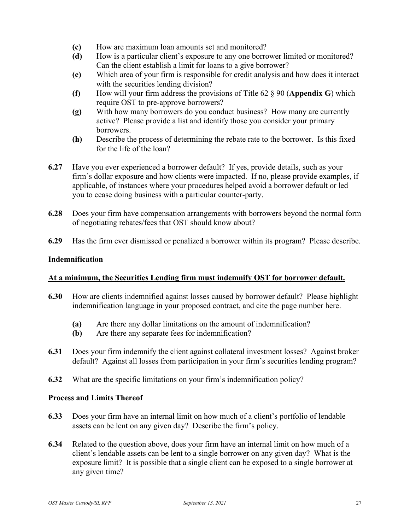- **(c)** How are maximum loan amounts set and monitored?
- **(d)** How is a particular client's exposure to any one borrower limited or monitored? Can the client establish a limit for loans to a give borrower?
- **(e)** Which area of your firm is responsible for credit analysis and how does it interact with the securities lending division?
- **(f)** How will your firm address the provisions of Title 62 § 90 (**Appendix G**) which require OST to pre-approve borrowers?
- **(g)** With how many borrowers do you conduct business? How many are currently active? Please provide a list and identify those you consider your primary borrowers.
- **(h)** Describe the process of determining the rebate rate to the borrower. Is this fixed for the life of the loan?
- **6.27** Have you ever experienced a borrower default? If yes, provide details, such as your firm's dollar exposure and how clients were impacted. If no, please provide examples, if applicable, of instances where your procedures helped avoid a borrower default or led you to cease doing business with a particular counter-party.
- **6.28** Does your firm have compensation arrangements with borrowers beyond the normal form of negotiating rebates/fees that OST should know about?
- **6.29** Has the firm ever dismissed or penalized a borrower within its program? Please describe.

#### **Indemnification**

#### **At a minimum, the Securities Lending firm must indemnify OST for borrower default.**

- **6.30** How are clients indemnified against losses caused by borrower default? Please highlight indemnification language in your proposed contract, and cite the page number here.
	- **(a)** Are there any dollar limitations on the amount of indemnification?
	- **(b)** Are there any separate fees for indemnification?
- **6.31** Does your firm indemnify the client against collateral investment losses? Against broker default? Against all losses from participation in your firm's securities lending program?
- **6.32** What are the specific limitations on your firm's indemnification policy?

#### **Process and Limits Thereof**

- **6.33** Does your firm have an internal limit on how much of a client's portfolio of lendable assets can be lent on any given day? Describe the firm's policy.
- **6.34** Related to the question above, does your firm have an internal limit on how much of a client's lendable assets can be lent to a single borrower on any given day? What is the exposure limit? It is possible that a single client can be exposed to a single borrower at any given time?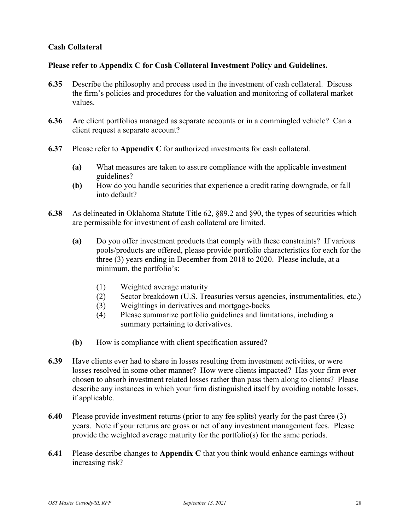#### **Cash Collateral**

#### **Please refer to Appendix C for Cash Collateral Investment Policy and Guidelines.**

- **6.35** Describe the philosophy and process used in the investment of cash collateral. Discuss the firm's policies and procedures for the valuation and monitoring of collateral market values.
- **6.36** Are client portfolios managed as separate accounts or in a commingled vehicle? Can a client request a separate account?
- **6.37** Please refer to **Appendix C** for authorized investments for cash collateral.
	- **(a)** What measures are taken to assure compliance with the applicable investment guidelines?
	- **(b)** How do you handle securities that experience a credit rating downgrade, or fall into default?
- **6.38** As delineated in Oklahoma Statute Title 62, §89.2 and §90, the types of securities which are permissible for investment of cash collateral are limited.
	- **(a)** Do you offer investment products that comply with these constraints? If various pools/products are offered, please provide portfolio characteristics for each for the three (3) years ending in December from 2018 to 2020. Please include, at a minimum, the portfolio's:
		- (1) Weighted average maturity
		- (2) Sector breakdown (U.S. Treasuries versus agencies, instrumentalities, etc.)
		- (3) Weightings in derivatives and mortgage-backs
		- (4) Please summarize portfolio guidelines and limitations, including a summary pertaining to derivatives.
	- **(b)** How is compliance with client specification assured?
- **6.39** Have clients ever had to share in losses resulting from investment activities, or were losses resolved in some other manner? How were clients impacted? Has your firm ever chosen to absorb investment related losses rather than pass them along to clients? Please describe any instances in which your firm distinguished itself by avoiding notable losses, if applicable.
- **6.40** Please provide investment returns (prior to any fee splits) yearly for the past three (3) years. Note if your returns are gross or net of any investment management fees. Please provide the weighted average maturity for the portfolio(s) for the same periods.
- **6.41** Please describe changes to **Appendix C** that you think would enhance earnings without increasing risk?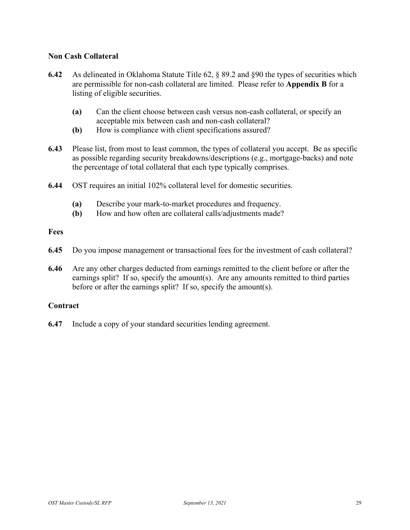#### **Non Cash Collateral**

- **6.42** As delineated in Oklahoma Statute Title 62, § 89.2 and §90 the types of securities which are permissible for non-cash collateral are limited. Please refer to **Appendix B** for a listing of eligible securities.
	- **(a)** Can the client choose between cash versus non-cash collateral, or specify an acceptable mix between cash and non-cash collateral?
	- **(b)** How is compliance with client specifications assured?
- **6.43** Please list, from most to least common, the types of collateral you accept. Be as specific as possible regarding security breakdowns/descriptions (e.g., mortgage-backs) and note the percentage of total collateral that each type typically comprises.
- **6.44** OST requires an initial 102% collateral level for domestic securities.
	- **(a)** Describe your mark-to-market procedures and frequency.
	- **(b)** How and how often are collateral calls/adjustments made?

#### **Fees**

- **6.45** Do you impose management or transactional fees for the investment of cash collateral?
- **6.46** Are any other charges deducted from earnings remitted to the client before or after the earnings split? If so, specify the amount(s). Are any amounts remitted to third parties before or after the earnings split? If so, specify the amount(s).

#### **Contract**

**6.47** Include a copy of your standard securities lending agreement.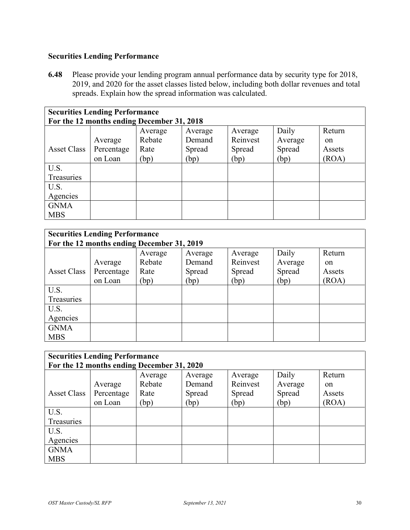#### **Securities Lending Performance**

**6.48** Please provide your lending program annual performance data by security type for 2018, 2019, and 2020 for the asset classes listed below, including both dollar revenues and total spreads. Explain how the spread information was calculated.

| <b>Securities Lending Performance</b>      |            |         |         |          |         |               |
|--------------------------------------------|------------|---------|---------|----------|---------|---------------|
| For the 12 months ending December 31, 2018 |            |         |         |          |         |               |
|                                            |            | Average | Average | Average  | Daily   | Return        |
|                                            | Average    | Rebate  | Demand  | Reinvest | Average | <sub>on</sub> |
| <b>Asset Class</b>                         | Percentage | Rate    | Spread  | Spread   | Spread  | Assets        |
|                                            | on Loan    | (bp)    | (bp)    | (bp)     | (bp)    | (ROA)         |
| U.S.                                       |            |         |         |          |         |               |
| Treasuries                                 |            |         |         |          |         |               |
| U.S.                                       |            |         |         |          |         |               |
| Agencies                                   |            |         |         |          |         |               |
| <b>GNMA</b>                                |            |         |         |          |         |               |
| <b>MBS</b>                                 |            |         |         |          |         |               |

| <b>Securities Lending Performance</b><br>For the 12 months ending December 31, 2019 |            |         |         |          |         |               |
|-------------------------------------------------------------------------------------|------------|---------|---------|----------|---------|---------------|
|                                                                                     |            | Average | Average | Average  | Daily   | Return        |
|                                                                                     | Average    | Rebate  | Demand  | Reinvest | Average | <sub>on</sub> |
| Asset Class                                                                         | Percentage | Rate    | Spread  | Spread   | Spread  | Assets        |
|                                                                                     | on Loan    | (bp)    | (bp)    | (bp)     | (bp)    | (ROA)         |
| U.S.                                                                                |            |         |         |          |         |               |
| Treasuries                                                                          |            |         |         |          |         |               |
| U.S.                                                                                |            |         |         |          |         |               |
| Agencies                                                                            |            |         |         |          |         |               |
| <b>GNMA</b>                                                                         |            |         |         |          |         |               |
| <b>MBS</b>                                                                          |            |         |         |          |         |               |

| <b>Securities Lending Performance</b><br>For the 12 months ending December 31, 2020 |            |         |         |          |         |               |
|-------------------------------------------------------------------------------------|------------|---------|---------|----------|---------|---------------|
|                                                                                     |            | Average | Average | Average  | Daily   | Return        |
|                                                                                     | Average    | Rebate  | Demand  | Reinvest | Average | <sub>on</sub> |
| <b>Asset Class</b>                                                                  | Percentage | Rate    | Spread  | Spread   | Spread  | Assets        |
|                                                                                     | on Loan    | (bp)    | (bp)    | (bp)     | (bp)    | (ROA)         |
| U.S.                                                                                |            |         |         |          |         |               |
| Treasuries                                                                          |            |         |         |          |         |               |
| U.S.                                                                                |            |         |         |          |         |               |
| Agencies                                                                            |            |         |         |          |         |               |
| <b>GNMA</b>                                                                         |            |         |         |          |         |               |
| <b>MBS</b>                                                                          |            |         |         |          |         |               |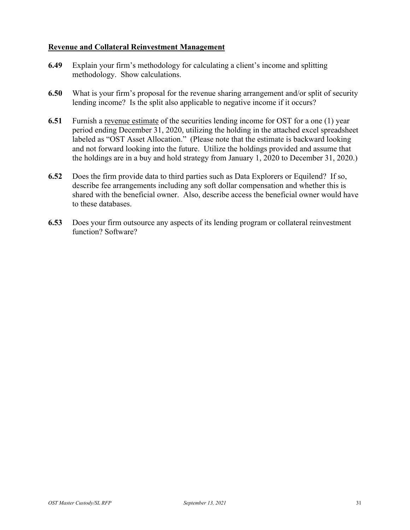#### **Revenue and Collateral Reinvestment Management**

- **6.49** Explain your firm's methodology for calculating a client's income and splitting methodology. Show calculations.
- **6.50** What is your firm's proposal for the revenue sharing arrangement and/or split of security lending income? Is the split also applicable to negative income if it occurs?
- **6.51** Furnish a revenue estimate of the securities lending income for OST for a one (1) year period ending December 31, 2020, utilizing the holding in the attached excel spreadsheet labeled as "OST Asset Allocation." (Please note that the estimate is backward looking and not forward looking into the future. Utilize the holdings provided and assume that the holdings are in a buy and hold strategy from January 1, 2020 to December 31, 2020.)
- **6.52** Does the firm provide data to third parties such as Data Explorers or Equilend? If so, describe fee arrangements including any soft dollar compensation and whether this is shared with the beneficial owner. Also, describe access the beneficial owner would have to these databases.
- **6.53** Does your firm outsource any aspects of its lending program or collateral reinvestment function? Software?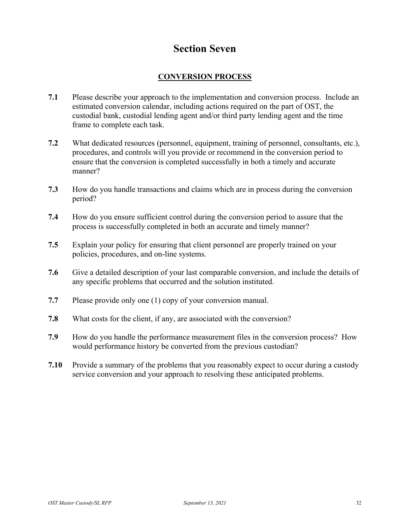### **Section Seven**

#### **CONVERSION PROCESS**

- <span id="page-31-0"></span>**7.1** Please describe your approach to the implementation and conversion process. Include an estimated conversion calendar, including actions required on the part of OST, the custodial bank, custodial lending agent and/or third party lending agent and the time frame to complete each task.
- **7.2** What dedicated resources (personnel, equipment, training of personnel, consultants, etc.), procedures, and controls will you provide or recommend in the conversion period to ensure that the conversion is completed successfully in both a timely and accurate manner?
- **7.3** How do you handle transactions and claims which are in process during the conversion period?
- **7.4** How do you ensure sufficient control during the conversion period to assure that the process is successfully completed in both an accurate and timely manner?
- **7.5** Explain your policy for ensuring that client personnel are properly trained on your policies, procedures, and on-line systems.
- **7.6** Give a detailed description of your last comparable conversion, and include the details of any specific problems that occurred and the solution instituted.
- **7.7** Please provide only one (1) copy of your conversion manual.
- **7.8** What costs for the client, if any, are associated with the conversion?
- **7.9** How do you handle the performance measurement files in the conversion process? How would performance history be converted from the previous custodian?
- **7.10** Provide a summary of the problems that you reasonably expect to occur during a custody service conversion and your approach to resolving these anticipated problems.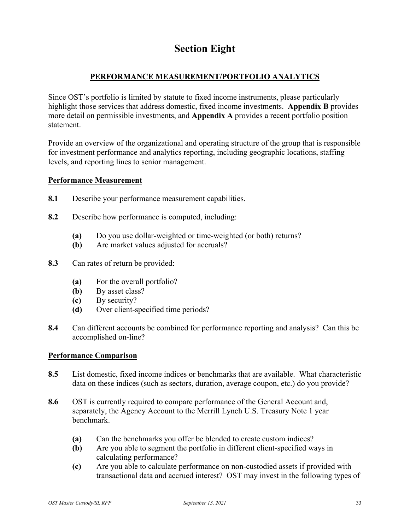## **Section Eight**

#### **PERFORMANCE MEASUREMENT/PORTFOLIO ANALYTICS**

<span id="page-32-0"></span>Since OST's portfolio is limited by statute to fixed income instruments, please particularly highlight those services that address domestic, fixed income investments. **Appendix B** provides more detail on permissible investments, and **Appendix A** provides a recent portfolio position statement.

Provide an overview of the organizational and operating structure of the group that is responsible for investment performance and analytics reporting, including geographic locations, staffing levels, and reporting lines to senior management.

#### **Performance Measurement**

- **8.1** Describe your performance measurement capabilities.
- **8.2** Describe how performance is computed, including:
	- **(a)** Do you use dollar-weighted or time-weighted (or both) returns?
	- **(b)** Are market values adjusted for accruals?
- **8.3** Can rates of return be provided:
	- **(a)** For the overall portfolio?
	- **(b)** By asset class?
	- **(c)** By security?
	- **(d)** Over client-specified time periods?
- **8.4** Can different accounts be combined for performance reporting and analysis? Can this be accomplished on-line?

#### **Performance Comparison**

- **8.5** List domestic, fixed income indices or benchmarks that are available. What characteristic data on these indices (such as sectors, duration, average coupon, etc.) do you provide?
- **8.6** OST is currently required to compare performance of the General Account and, separately, the Agency Account to the Merrill Lynch U.S. Treasury Note 1 year benchmark.
	- **(a)** Can the benchmarks you offer be blended to create custom indices?
	- **(b)** Are you able to segment the portfolio in different client-specified ways in calculating performance?
	- **(c)** Are you able to calculate performance on non-custodied assets if provided with transactional data and accrued interest? OST may invest in the following types of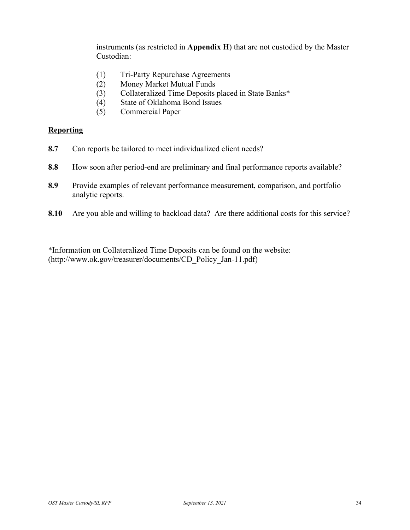instruments (as restricted in **Appendix H**) that are not custodied by the Master Custodian:

- (1) Tri-Party Repurchase Agreements
- (2) Money Market Mutual Funds
- (3) Collateralized Time Deposits placed in State Banks\*
- (4) State of Oklahoma Bond Issues
- (5) Commercial Paper

#### **Reporting**

- **8.7** Can reports be tailored to meet individualized client needs?
- **8.8** How soon after period-end are preliminary and final performance reports available?
- **8.9** Provide examples of relevant performance measurement, comparison, and portfolio analytic reports.
- **8.10** Are you able and willing to backload data? Are there additional costs for this service?

\*Information on Collateralized Time Deposits can be found on the website: (http://www.ok.gov/treasurer/documents/CD\_Policy\_Jan-11.pdf)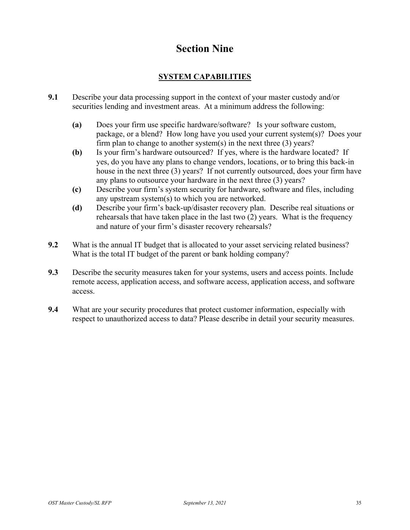## **Section Nine**

#### **SYSTEM CAPABILITIES**

- <span id="page-34-0"></span>**9.1** Describe your data processing support in the context of your master custody and/or securities lending and investment areas. At a minimum address the following:
	- **(a)** Does your firm use specific hardware/software? Is your software custom, package, or a blend? How long have you used your current system(s)? Does your firm plan to change to another system(s) in the next three  $(3)$  years?
	- **(b)** Is your firm's hardware outsourced? If yes, where is the hardware located? If yes, do you have any plans to change vendors, locations, or to bring this back-in house in the next three (3) years? If not currently outsourced, does your firm have any plans to outsource your hardware in the next three (3) years?
	- **(c)** Describe your firm's system security for hardware, software and files, including any upstream system(s) to which you are networked.
	- **(d)** Describe your firm's back-up/disaster recovery plan. Describe real situations or rehearsals that have taken place in the last two (2) years. What is the frequency and nature of your firm's disaster recovery rehearsals?
- **9.2** What is the annual IT budget that is allocated to your asset servicing related business? What is the total IT budget of the parent or bank holding company?
- **9.3** Describe the security measures taken for your systems, users and access points. Include remote access, application access, and software access, application access, and software access.
- **9.4** What are your security procedures that protect customer information, especially with respect to unauthorized access to data? Please describe in detail your security measures.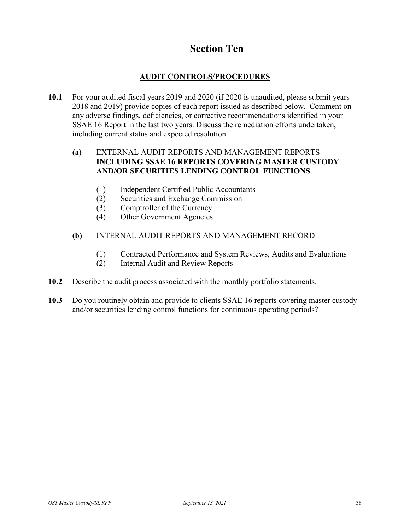## **Section Ten**

#### **AUDIT CONTROLS/PROCEDURES**

<span id="page-35-0"></span>**10.1** For your audited fiscal years 2019 and 2020 (if 2020 is unaudited, please submit years 2018 and 2019) provide copies of each report issued as described below. Comment on any adverse findings, deficiencies, or corrective recommendations identified in your SSAE 16 Report in the last two years. Discuss the remediation efforts undertaken, including current status and expected resolution.

#### **(a)** EXTERNAL AUDIT REPORTS AND MANAGEMENT REPORTS **INCLUDING SSAE 16 REPORTS COVERING MASTER CUSTODY AND/OR SECURITIES LENDING CONTROL FUNCTIONS**

- (1) Independent Certified Public Accountants
- (2) Securities and Exchange Commission
- (3) Comptroller of the Currency
- (4) Other Government Agencies

#### **(b)** INTERNAL AUDIT REPORTS AND MANAGEMENT RECORD

- (1) Contracted Performance and System Reviews, Audits and Evaluations
- (2) Internal Audit and Review Reports
- **10.2** Describe the audit process associated with the monthly portfolio statements.
- **10.3** Do you routinely obtain and provide to clients SSAE 16 reports covering master custody and/or securities lending control functions for continuous operating periods?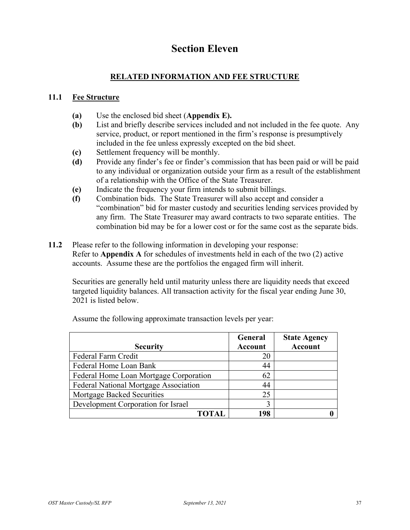## **Section Eleven**

#### **RELATED INFORMATION AND FEE STRUCTURE**

#### <span id="page-36-0"></span>**11.1 Fee Structure**

- **(a)** Use the enclosed bid sheet (**Appendix E).**
- **(b)** List and briefly describe services included and not included in the fee quote. Any service, product, or report mentioned in the firm's response is presumptively included in the fee unless expressly excepted on the bid sheet.
- **(c)** Settlement frequency will be monthly.
- **(d)** Provide any finder's fee or finder's commission that has been paid or will be paid to any individual or organization outside your firm as a result of the establishment of a relationship with the Office of the State Treasurer.
- **(e)** Indicate the frequency your firm intends to submit billings.
- **(f)** Combination bids. The State Treasurer will also accept and consider a "combination" bid for master custody and securities lending services provided by any firm. The State Treasurer may award contracts to two separate entities. The combination bid may be for a lower cost or for the same cost as the separate bids.
- **11.2** Please refer to the following information in developing your response: Refer to **Appendix A** for schedules of investments held in each of the two (2) active accounts. Assume these are the portfolios the engaged firm will inherit.

Securities are generally held until maturity unless there are liquidity needs that exceed targeted liquidity balances. All transaction activity for the fiscal year ending June 30, 2021 is listed below.

|                                        | <b>General</b> | <b>State Agency</b> |
|----------------------------------------|----------------|---------------------|
| <b>Security</b>                        | <b>Account</b> | <b>Account</b>      |
| Federal Farm Credit                    | 20             |                     |
| Federal Home Loan Bank                 | 44             |                     |
| Federal Home Loan Mortgage Corporation | 62             |                     |
| Federal National Mortgage Association  | 44             |                     |
| Mortgage Backed Securities             | 25             |                     |
| Development Corporation for Israel     |                |                     |
| <b>FOTAL</b>                           | 198            |                     |

Assume the following approximate transaction levels per year: